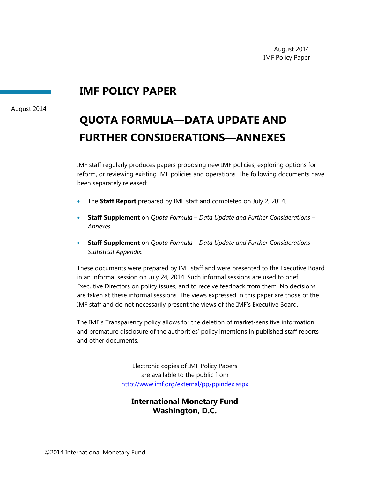# **IMF POLICY PAPER**

August 2014

# **QUOTA FORMULA—DATA UPDATE AND FURTHER CONSIDERATIONS—ANNEXES**

IMF staff regularly produces papers proposing new IMF policies, exploring options for reform, or reviewing existing IMF policies and operations. The following documents have been separately released:

- The **Staff Report** prepared by IMF staff and completed on July 2, 2014.
- **Staff Supplement** on *Quota Formula Data Update and Further Considerations Annexes.*
- **Staff Supplement** on *Quota Formula Data Update and Further Considerations Statistical Appendix.*

These documents were prepared by IMF staff and were presented to the Executive Board in an informal session on July 24, 2014. Such informal sessions are used to brief Executive Directors on policy issues, and to receive feedback from them. No decisions are taken at these informal sessions. The views expressed in this paper are those of the IMF staff and do not necessarily present the views of the IMF's Executive Board.

The IMF's Transparency policy allows for the deletion of market-sensitive information and premature disclosure of the authorities' policy intentions in published staff reports and other documents.

> Electronic copies of IMF Policy Papers are available to the public from http://www.imf.org/external/pp/ppindex.aspx

### **International Monetary Fund Washington, D.C.**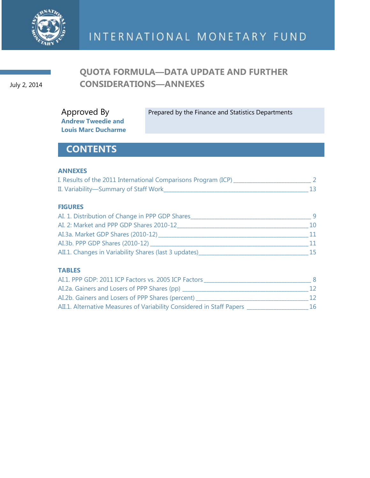

### July 2, 2014

# **QUOTA FORMULA—DATA UPDATE AND FURTHER CONSIDERATIONS—ANNEXES**

Prepared by the Finance and Statistics Departments

**Louis Marc Ducharme**

Approved By **Andrew Tweedie and**

# **CONTENTS**

### **ANNEXES**

| I. Results of the 2011 International Comparisons Program (ICP) |  |
|----------------------------------------------------------------|--|
| II. Variability-Summary of Staff Work_                         |  |

### **FIGURES**

| AI. 1. Distribution of Change in PPP GDP Shares       |    |
|-------------------------------------------------------|----|
| AI. 2: Market and PPP GDP Shares 2010-12              | 10 |
| AI.3a. Market GDP Shares (2010-12)                    |    |
| AI.3b. PPP GDP Shares (2010-12)                       |    |
| AII.1. Changes in Variability Shares (last 3 updates) | 15 |

### **TABLES**

| AI.1. PPP GDP: 2011 ICP Factors vs. 2005 ICP Factors                  |     |
|-----------------------------------------------------------------------|-----|
| AI.2a. Gainers and Losers of PPP Shares (pp)                          | 12. |
| AI.2b. Gainers and Losers of PPP Shares (percent)                     | 12. |
| AII.1. Alternative Measures of Variability Considered in Staff Papers | 16. |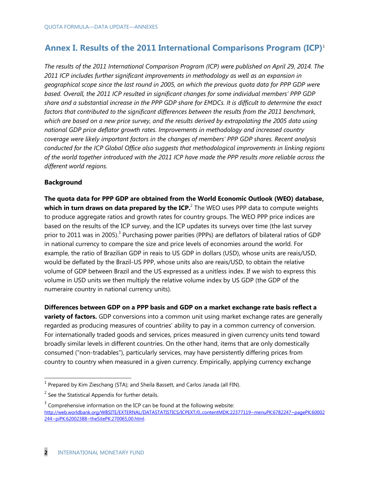### **Annex I. Results of the 2011 International Comparisons Program (ICP)**<sup>1</sup>

*The results of the 2011 International Comparison Program (ICP) were published on April 29, 2014. The 2011 ICP includes further significant improvements in methodology as well as an expansion in geographical scope since the last round in 2005, on which the previous quota data for PPP GDP were based. Overall, the 2011 ICP resulted in significant changes for some individual members' PPP GDP share and a substantial increase in the PPP GDP share for EMDCs. It is difficult to determine the exact factors that contributed to the significant differences between the results from the 2011 benchmark, which are based on a new price survey, and the results derived by extrapolating the 2005 data using national GDP price deflator growth rates. Improvements in methodology and increased country coverage were likely important factors in the changes of members' PPP GDP shares. Recent analysis conducted for the ICP Global Office also suggests that methodological improvements in linking regions of the world together introduced with the 2011 ICP have made the PPP results more reliable across the different world regions.* 

### **Background**

**The quota data for PPP GDP are obtained from the World Economic Outlook (WEO) database,**  which in turn draws on data prepared by the ICP.<sup>2</sup> The WEO uses PPP data to compute weights to produce aggregate ratios and growth rates for country groups. The WEO PPP price indices are based on the results of the ICP survey, and the ICP updates its surveys over time (the last survey prior to 2011 was in 2005).<sup>3</sup> Purchasing power parities (PPPs) are deflators of bilateral ratios of GDP in national currency to compare the size and price levels of economies around the world. For example, the ratio of Brazilian GDP in reais to US GDP in dollars (USD), whose units are reais/USD, would be deflated by the Brazil-US PPP, whose units also are reais/USD, to obtain the relative volume of GDP between Brazil and the US expressed as a unitless index. If we wish to express this volume in USD units we then multiply the relative volume index by US GDP (the GDP of the numeraire country in national currency units).

**Differences between GDP on a PPP basis and GDP on a market exchange rate basis reflect a variety of factors.** GDP conversions into a common unit using market exchange rates are generally regarded as producing measures of countries' ability to pay in a common currency of conversion. For internationally traded goods and services, prices measured in given currency units tend toward broadly similar levels in different countries. On the other hand, items that are only domestically consumed ("non-tradables"), particularly services, may have persistently differing prices from country to country when measured in a given currency. Empirically, applying currency exchange

<sup>&</sup>lt;u>nessen by Kim Zieschang (STA)</u>; and Sheila Bassett, and Carlos Janada (all FIN).<br><sup>1</sup> Prepared by Kim Zieschang (STA); and Sheila Bassett, and Carlos Janada (all FIN).

 $2$  See the Statistical Appendix for further details.

 $3$  Comprehensive information on the ICP can be found at the following website: [http://web.worldbank.org/WBSITE/EXTERNAL/DATASTATISTICS/ICPEXT/0,,contentMDK:22377119~menuPK:6782247~pagePK:60002](http://web.worldbank.org/WBSITE/EXTERNAL/DATASTATISTICS/ICPEXT/0,,contentMDK:22377119~menuPK:6782247~pagePK:60002244~piPK:62002388~theSitePK:270065,00.html) [244~piPK:62002388~theSitePK:270065,00.html.](http://web.worldbank.org/WBSITE/EXTERNAL/DATASTATISTICS/ICPEXT/0,,contentMDK:22377119~menuPK:6782247~pagePK:60002244~piPK:62002388~theSitePK:270065,00.html)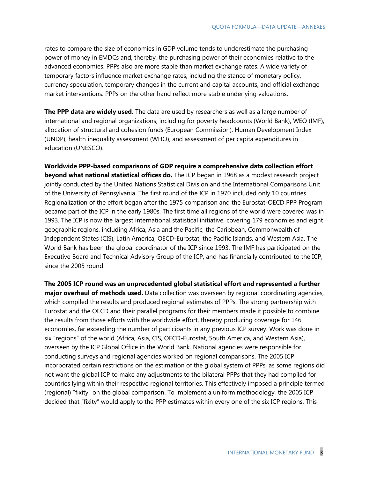rates to compare the size of economies in GDP volume tends to underestimate the purchasing power of money in EMDCs and, thereby, the purchasing power of their economies relative to the advanced economies. PPPs also are more stable than market exchange rates. A wide variety of temporary factors influence market exchange rates, including the stance of monetary policy, currency speculation, temporary changes in the current and capital accounts, and official exchange market interventions. PPPs on the other hand reflect more stable underlying valuations.

**The PPP data are widely used.** The data are used by researchers as well as a large number of international and regional organizations, including for poverty headcounts (World Bank), WEO (IMF), allocation of structural and cohesion funds (European Commission), Human Development Index (UNDP), health inequality assessment (WHO), and assessment of per capita expenditures in education (UNESCO).

**Worldwide PPP-based comparisons of GDP require a comprehensive data collection effort beyond what national statistical offices do.** The ICP began in 1968 as a modest research project jointly conducted by the United Nations Statistical Division and the International Comparisons Unit of the University of Pennsylvania. The first round of the ICP in 1970 included only 10 countries. Regionalization of the effort began after the 1975 comparison and the Eurostat-OECD PPP Program became part of the ICP in the early 1980s. The first time all regions of the world were covered was in 1993. The ICP is now the largest international statistical initiative, covering 179 economies and eight geographic regions, including Africa, Asia and the Pacific, the Caribbean, Commonwealth of Independent States (CIS), Latin America, OECD-Eurostat, the Pacific Islands, and Western Asia. The World Bank has been the global coordinator of the ICP since 1993. The IMF has participated on the Executive Board and Technical Advisory Group of the ICP, and has financially contributed to the ICP, since the 2005 round.

**The 2005 ICP round was an unprecedented global statistical effort and represented a further major overhaul of methods used.** Data collection was overseen by regional coordinating agencies, which compiled the results and produced regional estimates of PPPs. The strong partnership with Eurostat and the OECD and their parallel programs for their members made it possible to combine the results from those efforts with the worldwide effort, thereby producing coverage for 146 economies, far exceeding the number of participants in any previous ICP survey. Work was done in six "regions" of the world (Africa, Asia, CIS, OECD-Eurostat, South America, and Western Asia), overseen by the ICP Global Office in the World Bank. National agencies were responsible for conducting surveys and regional agencies worked on regional comparisons. The 2005 ICP incorporated certain restrictions on the estimation of the global system of PPPs, as some regions did not want the global ICP to make any adjustments to the bilateral PPPs that they had compiled for countries lying within their respective regional territories. This effectively imposed a principle termed (regional) "fixity" on the global comparison. To implement a uniform methodology, the 2005 ICP decided that "fixity" would apply to the PPP estimates within every one of the six ICP regions. This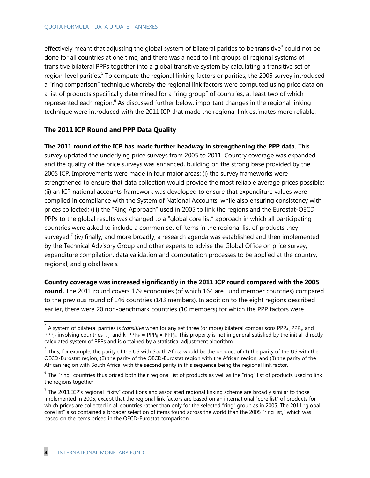effectively meant that adjusting the global system of bilateral parities to be transitive<sup>4</sup> could not be done for all countries at one time, and there was a need to link groups of regional systems of transitive bilateral PPPs together into a global transitive system by calculating a transitive set of region-level parities.<sup>5</sup> To compute the regional linking factors or parities, the 2005 survey introduced a "ring comparison" technique whereby the regional link factors were computed using price data on a list of products specifically determined for a "ring group" of countries, at least two of which represented each region.<sup>6</sup> As discussed further below, important changes in the regional linking technique were introduced with the 2011 ICP that made the regional link estimates more reliable.

### **The 2011 ICP Round and PPP Data Quality**

**The 2011 round of the ICP has made further headway in strengthening the PPP data.** This survey updated the underlying price surveys from 2005 to 2011. Country coverage was expanded and the quality of the price surveys was enhanced, building on the strong base provided by the 2005 ICP. Improvements were made in four major areas: (i) the survey frameworks were strengthened to ensure that data collection would provide the most reliable average prices possible; (ii) an ICP national accounts framework was developed to ensure that expenditure values were compiled in compliance with the System of National Accounts, while also ensuring consistency with prices collected; (iii) the "Ring Approach" used in 2005 to link the regions and the Eurostat-OECD PPPs to the global results was changed to a "global core list" approach in which all participating countries were asked to include a common set of items in the regional list of products they surveyed;<sup>7</sup> (iv) finally, and more broadly, a research agenda was established and then implemented by the Technical Advisory Group and other experts to advise the Global Office on price survey, expenditure compilation, data validation and computation processes to be applied at the country, regional, and global levels.

**Country coverage was increased significantly in the 2011 ICP round compared with the 2005** 

**round.** The 2011 round covers 179 economies (of which 164 are Fund member countries) compared to the previous round of 146 countries (143 members). In addition to the eight regions described earlier, there were 20 non-benchmark countries (10 members) for which the PPP factors were

 4 A system of bilateral parities is *transitive* when for any set three (or more) bilateral comparisons PPPik, PPPij, and PPP<sub>jk</sub> involving countries i, j, and k, PPP<sub>ik</sub> = PPP<sub>ij</sub> × PPP<sub>jk</sub>. This property is not in general satisfied by the initial, directly calculated system of PPPs and is obtained by a statistical adjustment algorithm.

 $<sup>5</sup>$  Thus, for example, the parity of the US with South Africa would be the product of (1) the parity of the US with the</sup> OECD-Eurostat region, (2) the parity of the OECD-Eurostat region with the African region, and (3) the parity of the African region with South Africa, with the second parity in this sequence being the regional link factor.

 $^6$  The "ring" countries thus priced both their regional list of products as well as the "ring" list of products used to link the regions together.

<sup>&</sup>lt;sup>7</sup> The 2011 ICP's regional "fixity" conditions and associated regional linking scheme are broadly similar to those implemented in 2005, except that the regional link factors are based on an international "core list" of products for which prices are collected in all countries rather than only for the selected "ring" group as in 2005. The 2011 "global core list" also contained a broader selection of items found across the world than the 2005 "ring list," which was based on the items priced in the OECD-Eurostat comparison.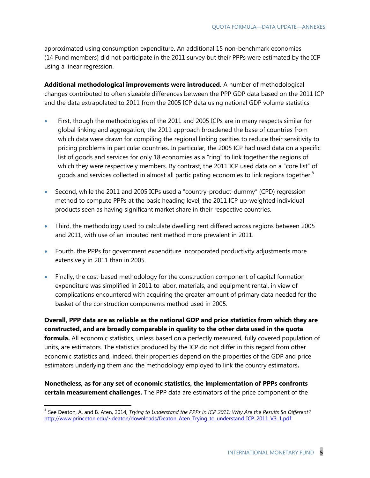approximated using consumption expenditure. An additional 15 non-benchmark economies (14 Fund members) did not participate in the 2011 survey but their PPPs were estimated by the ICP using a linear regression.

**Additional methodological improvements were introduced.** A number of methodological changes contributed to often sizeable differences between the PPP GDP data based on the 2011 ICP and the data extrapolated to 2011 from the 2005 ICP data using national GDP volume statistics.

- First, though the methodologies of the 2011 and 2005 ICPs are in many respects similar for global linking and aggregation, the 2011 approach broadened the base of countries from which data were drawn for compiling the regional linking parities to reduce their sensitivity to pricing problems in particular countries. In particular, the 2005 ICP had used data on a specific list of goods and services for only 18 economies as a "ring" to link together the regions of which they were respectively members. By contrast, the 2011 ICP used data on a "core list" of goods and services collected in almost all participating economies to link regions together.<sup>8</sup>
- Second, while the 2011 and 2005 ICPs used a "country-product-dummy" (CPD) regression method to compute PPPs at the basic heading level, the 2011 ICP up-weighted individual products seen as having significant market share in their respective countries.
- Third, the methodology used to calculate dwelling rent differed across regions between 2005 and 2011, with use of an imputed rent method more prevalent in 2011.
- Fourth, the PPPs for government expenditure incorporated productivity adjustments more extensively in 2011 than in 2005.
- Finally, the cost-based methodology for the construction component of capital formation expenditure was simplified in 2011 to labor, materials, and equipment rental, in view of complications encountered with acquiring the greater amount of primary data needed for the basket of the construction components method used in 2005.

**Overall, PPP data are as reliable as the national GDP and price statistics from which they are constructed, and are broadly comparable in quality to the other data used in the quota formula.** All economic statistics, unless based on a perfectly measured, fully covered population of units, are estimators. The statistics produced by the ICP do not differ in this regard from other economic statistics and, indeed, their properties depend on the properties of the GDP and price estimators underlying them and the methodology employed to link the country estimators**.**

**Nonetheless, as for any set of economic statistics, the implementation of PPPs confronts certain measurement challenges.** The PPP data are estimators of the price component of the

 8 See Deaton, A. and B. Aten, 2014, *Trying to Understand the PPPs in ICP 2011: Why Are the Results So Different?* [http://www.princeton.edu/~deaton/downloads/Deaton\\_Aten\\_Trying\\_to\\_understand\\_ICP\\_2011\\_V3\\_1.pdf](http://www.princeton.edu/~deaton/downloads/Deaton_Aten_Trying_to_understand_ICP_2011_V3_1.pdf)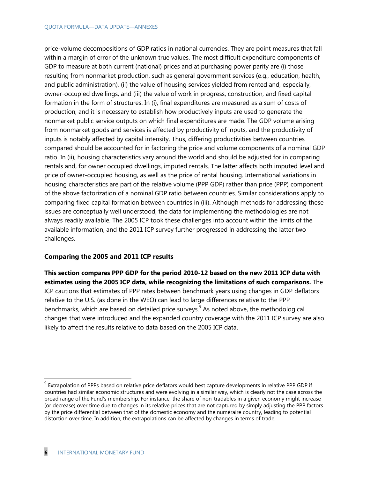price-volume decompositions of GDP ratios in national currencies. They are point measures that fall within a margin of error of the unknown true values. The most difficult expenditure components of GDP to measure at both current (national) prices and at purchasing power parity are (i) those resulting from nonmarket production, such as general government services (e.g., education, health, and public administration), (ii) the value of housing services yielded from rented and, especially, owner-occupied dwellings, and (iii) the value of work in progress, construction, and fixed capital formation in the form of structures. In (i), final expenditures are measured as a sum of costs of production, and it is necessary to establish how productively inputs are used to generate the nonmarket public service outputs on which final expenditures are made. The GDP volume arising from nonmarket goods and services is affected by productivity of inputs, and the productivity of inputs is notably affected by capital intensity. Thus, differing productivities between countries compared should be accounted for in factoring the price and volume components of a nominal GDP ratio. In (ii), housing characteristics vary around the world and should be adjusted for in comparing rentals and, for owner occupied dwellings, imputed rentals. The latter affects both imputed level and price of owner-occupied housing, as well as the price of rental housing. International variations in housing characteristics are part of the relative volume (PPP GDP) rather than price (PPP) component of the above factorization of a nominal GDP ratio between countries. Similar considerations apply to comparing fixed capital formation between countries in (iii). Although methods for addressing these issues are conceptually well understood, the data for implementing the methodologies are not always readily available. The 2005 ICP took these challenges into account within the limits of the available information, and the 2011 ICP survey further progressed in addressing the latter two challenges.

### **Comparing the 2005 and 2011 ICP results**

**This section compares PPP GDP for the period 2010-12 based on the new 2011 ICP data with estimates using the 2005 ICP data, while recognizing the limitations of such comparisons.** The ICP cautions that estimates of PPP rates between benchmark years using changes in GDP deflators relative to the U.S. (as done in the WEO) can lead to large differences relative to the PPP benchmarks, which are based on detailed price surveys. $9$  As noted above, the methodological changes that were introduced and the expanded country coverage with the 2011 ICP survey are also likely to affect the results relative to data based on the 2005 ICP data.

 $9$  Extrapolation of PPPs based on relative price deflators would best capture developments in relative PPP GDP if countries had similar economic structures and were evolving in a similar way, which is clearly not the case across the broad range of the Fund's membership. For instance, the share of non-tradables in a given economy might increase (or decrease) over time due to changes in its relative prices that are not captured by simply adjusting the PPP factors by the price differential between that of the domestic economy and the numéraire country, leading to potential distortion over time. In addition, the extrapolations can be affected by changes in terms of trade.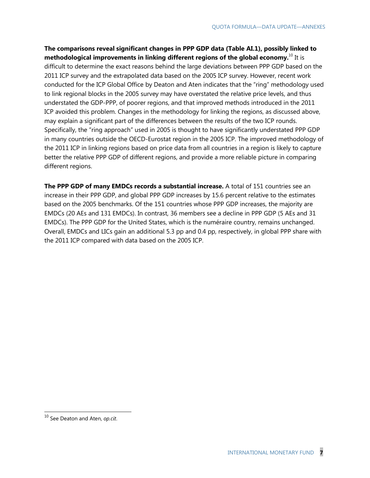**The comparisons reveal significant changes in PPP GDP data (Table AI.1), possibly linked to methodological improvements in linking different regions of the global economy.** <sup>10</sup> It is difficult to determine the exact reasons behind the large deviations between PPP GDP based on the 2011 ICP survey and the extrapolated data based on the 2005 ICP survey. However, recent work conducted for the ICP Global Office by Deaton and Aten indicates that the "ring" methodology used to link regional blocks in the 2005 survey may have overstated the relative price levels, and thus understated the GDP-PPP, of poorer regions, and that improved methods introduced in the 2011 ICP avoided this problem. Changes in the methodology for linking the regions, as discussed above, may explain a significant part of the differences between the results of the two ICP rounds. Specifically, the "ring approach" used in 2005 is thought to have significantly understated PPP GDP in many countries outside the OECD-Eurostat region in the 2005 ICP. The improved methodology of the 2011 ICP in linking regions based on price data from all countries in a region is likely to capture better the relative PPP GDP of different regions, and provide a more reliable picture in comparing different regions.

**The PPP GDP of many EMDCs records a substantial increase.** A total of 151 countries see an increase in their PPP GDP, and global PPP GDP increases by 15.6 percent relative to the estimates based on the 2005 benchmarks. Of the 151 countries whose PPP GDP increases, the majority are EMDCs (20 AEs and 131 EMDCs). In contrast, 36 members see a decline in PPP GDP (5 AEs and 31 EMDCs). The PPP GDP for the United States, which is the numéraire country, remains unchanged. Overall, EMDCs and LICs gain an additional 5.3 pp and 0.4 pp, respectively, in global PPP share with the 2011 ICP compared with data based on the 2005 ICP.

<sup>10</sup> See Deaton and Aten, *op.cit*.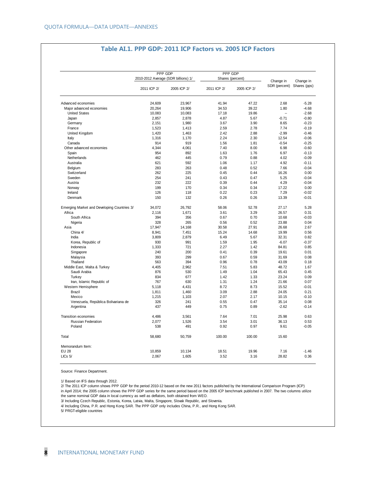#### **Table AI.1. PPP GDP: 2011 ICP Factors vs. 2005 ICP Factors**

|                                             | PPP GDP                             |             | PPP GDP          |             | Change in     | Change in    |
|---------------------------------------------|-------------------------------------|-------------|------------------|-------------|---------------|--------------|
|                                             | 2010-2012 Average (SDR billions) 1/ |             | Shares (percent) |             |               |              |
|                                             | 2011 ICP 2/                         | 2005 ICP 2/ | 2011 ICP 2/      | 2005 ICP 2/ | SDR (percent) | Shares (pps) |
| Advanced economies                          | 24,609                              | 23,967      | 41.94            | 47.22       | 2.68          | $-5.28$      |
| Major advanced economies                    | 20,264                              | 19,906      | 34.53            | 39.22       | 1.80          | $-4.68$      |
| <b>United States</b>                        | 10,083                              | 10,083      | 17.18            | 19.86       |               | $-2.68$      |
| Japan                                       | 2,857                               | 2,878       | 4.87             | 5.67        | $-0.71$       | $-0.80$      |
| Germany                                     | 2,151                               | 1,980       | 3.67             | 3.90        | 8.65          | $-0.23$      |
| France                                      | 1,523                               | 1,413       | 2.59             | 2.78        | 7.74          | $-0.19$      |
| United Kingdom                              | 1,420                               | 1,463       | 2.42             | 2.88        | $-2.99$       | $-0.46$      |
| Italy                                       | 1,316                               | 1,170       | 2.24             | 2.30        | 12.54         | $-0.06$      |
| Canada                                      | 914                                 | 919         | 1.56             | 1.81        | $-0.54$       | $-0.25$      |
| Other advanced economies                    | 4,344                               | 4,061       | 7.40             | 8.00        | 6.98          | $-0.60$      |
| Spain                                       | 954                                 | 892         | 1.63             | 1.76        | 6.97          | $-0.13$      |
| Netherlands                                 | 462                                 | 445         | 0.79             | 0.88        | 4.02          | $-0.09$      |
| Australia                                   | 621                                 | 592         | 1.06             | 1.17        | 4.92          | $-0.11$      |
| Belgium                                     | 283                                 | 263         | 0.48             | 0.52        | 7.66          | $-0.04$      |
| Switzerland                                 | 262                                 | 225         | 0.45             | 0.44        | 16.26         | 0.00         |
| Sweden                                      | 254                                 | 241         | 0.43             | 0.47        | 5.25          | $-0.04$      |
| Austria                                     | 232                                 | 222         | 0.39             | 0.44        | 4.29          | $-0.04$      |
| Norway                                      | 199                                 | 170         | 0.34             | 0.34        | 17.22         | 0.00         |
| Ireland                                     | 126                                 | 118         | 0.22             | 0.23        | 7.29          | $-0.02$      |
| Denmark                                     | 150                                 | 132         | 0.26             | 0.26        | 13.39         | $-0.01$      |
| Emerging Market and Developing Countries 3/ | 34,072                              | 26,792      | 58.06            | 52.78       | 27.17         | 5.28         |
| Africa                                      | 2,116                               | 1,671       | 3.61             | 3.29        | 26.57         | 0.31         |
| South Africa                                | 394                                 | 356         | 0.67             | 0.70        | 10.68         | $-0.03$      |
| Nigeria                                     | 328                                 | 265         | 0.56             | 0.52        | 23.88         | 0.04         |
| Asia                                        | 17,947                              | 14,168      | 30.58            | 27.91       | 26.68         | 2.67         |
| China 4/                                    | 8,941                               | 7,451       | 15.24            | 14.68       | 19.99         | 0.56         |
| India                                       | 3,809                               | 2,879       | 6.49             | 5.67        | 32.31         | 0.82         |
| Korea, Republic of                          | 930                                 | 991         | 1.59             | 1.95        | $-6.07$       | $-0.37$      |
| Indonesia                                   | 1,333                               | 721         | 2.27             | 1.42        | 84.81         | 0.85         |
| Singapore                                   | 240                                 | 200         | 0.41             | 0.39        | 19.61         | 0.01         |
| Malaysia                                    | 393                                 | 299         | 0.67             | 0.59        | 31.69         | 0.08         |
| Thailand                                    | 563                                 | 394         | 0.96             | 0.78        | 43.09         | 0.18         |
| Middle East, Malta & Turkey                 | 4,405                               | 2,962       | 7.51             | 5.83        | 48.72         | 1.67         |
| Saudi Arabia                                | 876                                 | 530         | 1.49             | 1.04        | 65.43         | 0.45         |
| Turkey                                      | 834                                 | 677         | 1.42             | 1.33        | 23.24         | 0.09         |
| Iran, Islamic Republic of                   | 767                                 | 630         | 1.31             | 1.24        | 21.66         | 0.07         |
| Western Hemisphere                          | 5,118                               | 4,431       | 8.72             | 8.73        | 15.52         | $-0.01$      |
| <b>Brazil</b>                               | 1,811                               | 1,460       | 3.09             | 2.88        | 24.05         | 0.21         |
| Mexico                                      | 1,215                               | 1,103       | 2.07             | 2.17        | 10.15         | $-0.10$      |
| Venezuela, República Bolivariana de         | 326                                 | 241         | 0.55             | 0.47        | 35.14         | 0.08         |
| Argentina                                   | 437                                 | 449         | 0.75             | 0.89        | $-2.62$       | $-0.14$      |
| Transition economies                        | 4,486                               | 3,561       | 7.64             | 7.01        | 25.98         | 0.63         |
| Russian Federation                          | 2,077                               | 1,526       | 3.54             | 3.01        | 36.13         | 0.53         |
| Poland                                      | 538                                 | 491         | 0.92             | 0.97        | 9.61          | $-0.05$      |
| Total                                       | 58,680                              | 50,759      | 100.00           | 100.00      | 15.60         |              |
| Memorandum Item:                            |                                     |             |                  |             |               |              |
| <b>EU 28</b>                                | 10,859                              | 10,134      | 18.51            | 19.96       | 7.16          | $-1.46$      |
| LICs 5/                                     | 2,067                               | 1,605       | 3.52             | 3.16        | 28.82         | 0.36         |

Source: Finance Department.

1/ Based on IFS data through 2012.

2/ The 2011 ICP column shows PPP GDP for the period 2010-12 based on the new 2011 factors published by the International Comparison Program (ICP) in April 2014; the 2005 column shows the PPP GDP series for the same period based on the 2005 ICP benchmark published in 2007. The two columns utilize the same nominal GDP data in local currency as well as deflators, both obtained from WEO.

3/ Including Czech Republic, Estonia, Korea, Latvia, Malta, Singapore, Slovak Republic, and Slovenia.

4/ Including China, P.R. and Hong Kong SAR. The PPP GDP only includes China, P.R., and Hong Kong SAR.

5/ PRGT-eligible countries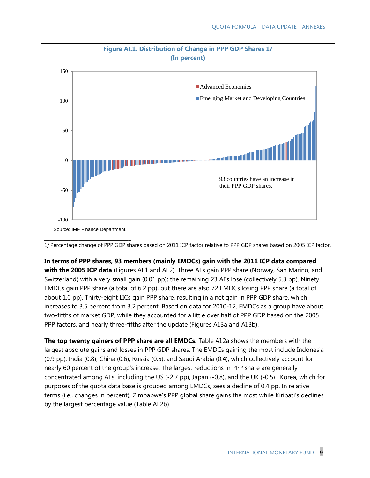

**In terms of PPP shares, 93 members (mainly EMDCs) gain with the 2011 ICP data compared with the 2005 ICP data** (Figures AI.1 and AI.2). Three AEs gain PPP share (Norway, San Marino, and Switzerland) with a very small gain (0.01 pp); the remaining 23 AEs lose (collectively 5.3 pp). Ninety EMDCs gain PPP share (a total of 6.2 pp), but there are also 72 EMDCs losing PPP share (a total of about 1.0 pp). Thirty-eight LICs gain PPP share, resulting in a net gain in PPP GDP share, which increases to 3.5 percent from 3.2 percent. Based on data for 2010-12, EMDCs as a group have about two-fifths of market GDP, while they accounted for a little over half of PPP GDP based on the 2005 PPP factors, and nearly three-fifths after the update (Figures AI.3a and AI.3b).

**The top twenty gainers of PPP share are all EMDCs.** Table AI.2a shows the members with the largest absolute gains and losses in PPP GDP shares. The EMDCs gaining the most include Indonesia (0.9 pp), India (0.8), China (0.6), Russia (0.5), and Saudi Arabia (0.4), which collectively account for nearly 60 percent of the group's increase. The largest reductions in PPP share are generally concentrated among AEs, including the US (-2.7 pp), Japan (-0.8), and the UK (-0.5). Korea, which for purposes of the quota data base is grouped among EMDCs, sees a decline of 0.4 pp. In relative terms (i.e., changes in percent), Zimbabwe's PPP global share gains the most while Kiribati's declines by the largest percentage value (Table AI.2b).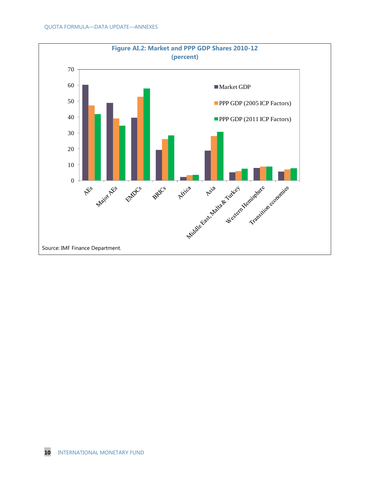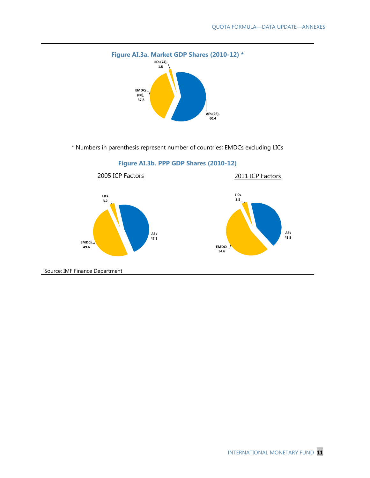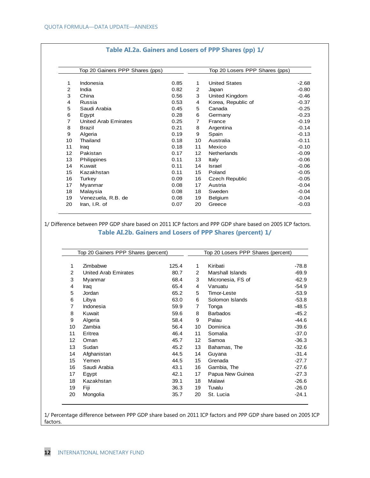|                   | Top 20 Gainers PPP Shares (pps) |      |                | Top 20 Losers PPP Shares (pps) |         |
|-------------------|---------------------------------|------|----------------|--------------------------------|---------|
| 1                 | Indonesia                       | 0.85 | 1              | <b>United States</b>           | $-2.68$ |
| 2                 | India                           | 0.82 | $\overline{2}$ | Japan                          | $-0.80$ |
| 3                 | China                           | 0.56 | 3              | United Kingdom                 | $-0.46$ |
| 4                 | Russia                          | 0.53 | 4              | Korea, Republic of             | $-0.37$ |
| 5                 | Saudi Arabia                    | 0.45 | 5              | Canada                         | $-0.25$ |
| 6                 | Egypt                           | 0.28 | 6              | Germany                        | $-0.23$ |
| $\overline{7}$    | <b>United Arab Emirates</b>     | 0.25 | $\overline{7}$ | France                         | $-0.19$ |
| 8                 | Brazil                          | 0.21 | 8              | Argentina                      | $-0.14$ |
| 9                 | Algeria                         | 0.19 | 9              | Spain                          | $-0.13$ |
| 10                | Thailand                        | 0.18 | 10             | Australia                      | $-0.11$ |
| 11                | Iraq                            | 0.18 | 11             | Mexico                         | $-0.10$ |
| $12 \overline{ }$ | Pakistan                        | 0.17 | 12             | <b>Netherlands</b>             | $-0.09$ |
| 13                | Philippines                     | 0.11 | 13             | Italy                          | $-0.06$ |
| 14                | Kuwait                          | 0.11 | 14             | <b>Israel</b>                  | $-0.06$ |
| 15                | Kazakhstan                      | 0.11 | 15             | Poland                         | $-0.05$ |
| 16                | Turkey                          | 0.09 | 16             | <b>Czech Republic</b>          | $-0.05$ |
| 17                | Myanmar                         | 0.08 | 17             | Austria                        | $-0.04$ |
| 18                | Malaysia                        | 0.08 | 18             | Sweden                         | $-0.04$ |
| 19                | Venezuela, R.B. de              | 0.08 | 19             | Belgium                        | $-0.04$ |
| 20                | Iran, I.R. of                   | 0.07 | 20             | Greece                         | $-0.03$ |

#### **Table AI.2a. Gainers and Losers of PPP Shares (pp) 1/**

1/ Difference between PPP GDP share based on 2011 ICP factors and PPP GDP share based on 2005 ICP factors. **Table AI.2b. Gainers and Losers of PPP Shares (percent) 1/**

| Top 20 Gainers PPP Shares (percent) |                             |       | Top 20 Losers PPP Shares (percent) |                   |         |
|-------------------------------------|-----------------------------|-------|------------------------------------|-------------------|---------|
| 1                                   | Zimbabwe                    | 125.4 | 1.                                 | Kiribati          | -78.8   |
| 2                                   | <b>United Arab Emirates</b> | 80.7  | $\overline{2}$                     | Marshall Islands  | $-69.9$ |
| 3                                   | Myanmar                     | 68.4  | 3                                  | Micronesia, FS of | $-62.9$ |
| 4                                   | Iraq                        | 65.4  | 4                                  | Vanuatu           | $-54.9$ |
| 5                                   | Jordan                      | 65.2  | 5                                  | Timor-Leste       | $-53.9$ |
| 6                                   | Libya                       | 63.0  | 6                                  | Solomon Islands   | $-53.8$ |
| $\overline{7}$                      | Indonesia                   | 59.9  | 7                                  | Tonga             | $-48.5$ |
| 8                                   | Kuwait                      | 59.6  | 8                                  | <b>Barbados</b>   | $-45.2$ |
| 9                                   | Algeria                     | 58.4  | 9                                  | Palau             | $-44.6$ |
| 10                                  | Zambia                      | 56.4  | 10                                 | Dominica          | $-39.6$ |
| 11                                  | Eritrea                     | 46.4  | 11                                 | Somalia           | $-37.0$ |
| 12                                  | Oman                        | 45.7  | 12                                 | Samoa             | $-36.3$ |
| 13                                  | Sudan                       | 45.2  | 13                                 | Bahamas, The      | $-32.6$ |
| 14                                  | Afghanistan                 | 44.5  | 14                                 | Guyana            | $-31.4$ |
| 15                                  | Yemen                       | 44.5  | 15                                 | Grenada           | $-27.7$ |
| 16                                  | Saudi Arabia                | 43.1  | 16                                 | Gambia, The       | $-27.6$ |
| 17                                  | Egypt                       | 42.1  | 17                                 | Papua New Guinea  | $-27.3$ |
| 18                                  | Kazakhstan                  | 39.1  | 18                                 | Malawi            | $-26.6$ |
| 19                                  | Fiji                        | 36.3  | 19                                 | Tuvalu            | $-26.0$ |
| 20                                  | Mongolia                    | 35.7  | 20                                 | St. Lucia         | $-24.1$ |

1/ Percentage difference between PPP GDP share based on 2011 ICP factors and PPP GDP share based on 2005 ICP factors.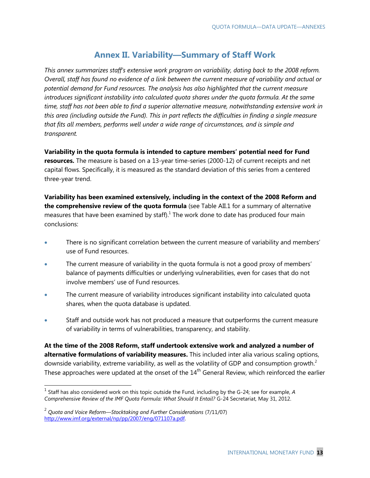### **Annex II. Variability—Summary of Staff Work**

*This annex summarizes staff's extensive work program on variability, dating back to the 2008 reform. Overall, staff has found no evidence of a link between the current measure of variability and actual or potential demand for Fund resources. The analysis has also highlighted that the current measure introduces significant instability into calculated quota shares under the quota formula. At the same time, staff has not been able to find a superior alternative measure, notwithstanding extensive work in this area (including outside the Fund). This in part reflects the difficulties in finding a single measure that fits all members, performs well under a wide range of circumstances, and is simple and transparent.*

**Variability in the quota formula is intended to capture members' potential need for Fund resources.** The measure is based on a 13-year time-series (2000-12) of current receipts and net capital flows. Specifically, it is measured as the standard deviation of this series from a centered three-year trend.

**Variability has been examined extensively, including in the context of the 2008 Reform and**  the comprehensive review of the quota formula (see Table AII.1 for a summary of alternative measures that have been examined by staff). $<sup>1</sup>$  The work done to date has produced four main</sup> conclusions:

- There is no significant correlation between the current measure of variability and members' use of Fund resources.
- The current measure of variability in the quota formula is not a good proxy of members' balance of payments difficulties or underlying vulnerabilities, even for cases that do not involve members' use of Fund resources.
- The current measure of variability introduces significant instability into calculated quota shares, when the quota database is updated.
- Staff and outside work has not produced a measure that outperforms the current measure of variability in terms of vulnerabilities, transparency, and stability.

**At the time of the 2008 Reform, staff undertook extensive work and analyzed a number of alternative formulations of variability measures.** This included inter alia various scaling options, downside variability, extreme variability, as well as the volatility of GDP and consumption growth.<sup>2</sup> These approaches were updated at the onset of the  $14<sup>th</sup>$  General Review, which reinforced the earlier

<sup>&</sup>lt;sup>1</sup> Staff has also considered work on this topic outside the Fund, including by the G-24; see for example, A *Comprehensive Review of the IMF Quota Formula: What Should It Entail?* G-24 Secretariat, May 31, 2012.

<sup>2</sup> *Quota and Voice Reform—Stocktaking and Further Considerations* (7/11/07) [http://www.imf.org/external/np/pp/2007/eng/071107a.pdf.](http://www.imf.org/external/np/pp/2007/eng/071107a.pdf)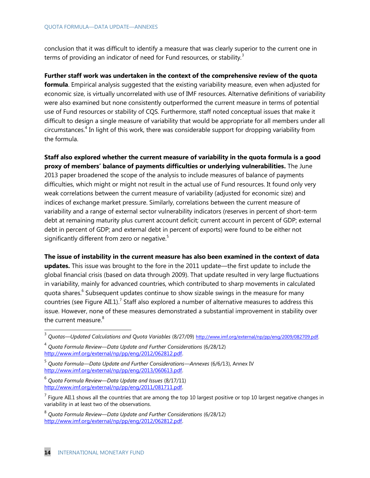conclusion that it was difficult to identify a measure that was clearly superior to the current one in terms of providing an indicator of need for Fund resources, or stability*.* 3

### **Further staff work was undertaken in the context of the comprehensive review of the quota**

**formula**. Empirical analysis suggested that the existing variability measure, even when adjusted for economic size, is virtually uncorrelated with use of IMF resources. Alternative definitions of variability were also examined but none consistently outperformed the current measure in terms of potential use of Fund resources or stability of CQS. Furthermore, staff noted conceptual issues that make it difficult to design a single measure of variability that would be appropriate for all members under all circumstances.<sup>4</sup> In light of this work, there was considerable support for dropping variability from the formula.

**Staff also explored whether the current measure of variability in the quota formula is a good proxy of members' balance of payments difficulties or underlying vulnerabilities.** The June 2013 paper broadened the scope of the analysis to include measures of balance of payments difficulties, which might or might not result in the actual use of Fund resources. It found only very weak correlations between the current measure of variability (adjusted for economic size) and indices of exchange market pressure. Similarly, correlations between the current measure of variability and a range of external sector vulnerability indicators (reserves in percent of short-term debt at remaining maturity plus current account deficit; current account in percent of GDP; external debt in percent of GDP; and external debt in percent of exports) were found to be either not significantly different from zero or negative. $5$ 

**The issue of instability in the current measure has also been examined in the context of data** 

**updates.** This issue was brought to the fore in the 2011 update—the first update to include the global financial crisis (based on data through 2009). That update resulted in very large fluctuations in variability, mainly for advanced countries, which contributed to sharp movements in calculated quota shares.<sup>6</sup> Subsequent updates continue to show sizable swings in the measure for many countries (see Figure AII.1).<sup>7</sup> Staff also explored a number of alternative measures to address this issue. However, none of these measures demonstrated a substantial improvement in stability over the current measure. $8$ 

<sup>&</sup>lt;sup>3</sup> Quotas—Updated Calculations and Quota Variables (8/27/09) [http://www.imf.org/external/np/pp/eng/2009/082709.pdf.](http://www.imf.org/external/np/pp/eng/2009/082709.pdf)

<sup>4</sup> *Quota Formula Review—Data Update and Further Considerations* (6/28/12) [http://www.imf.org/external/np/pp/eng/2012/062812.pdf.](http://www.imf.org/external/np/pp/eng/2012/062812.pdf)

<sup>5</sup> *Quota Formula—Data Update and Further Considerations—Annexes* (6/6/13), Annex IV [http://www.imf.org/external/np/pp/eng/2013/060613.pdf.](http://www.imf.org/external/np/pp/eng/2013/060613.pdf)

<sup>6</sup> *Quota Formula Review—Data Update and Issues* (8/17/11) [http://www.imf.org/external/np/pp/eng/2011/081711.pdf.](http://www.imf.org/external/np/pp/eng/2011/081711.pdf)

<sup>&</sup>lt;sup>7</sup> Figure AII.1 shows all the countries that are among the top 10 largest positive or top 10 largest negative changes in variability in at least two of the observations.

<sup>8</sup> *Quota Formula Review—Data Update and Further Considerations* (6/28/12) [http://www.imf.org/external/np/pp/eng/2012/062812.pdf.](http://www.imf.org/external/np/pp/eng/2012/062812.pdf)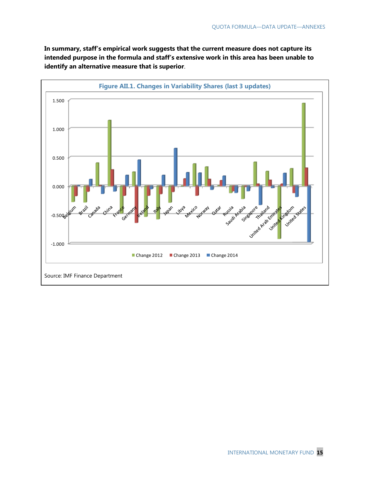**In summary, staff's empirical work suggests that the current measure does not capture its intended purpose in the formula and staff's extensive work in this area has been unable to identify an alternative measure that is superior**.

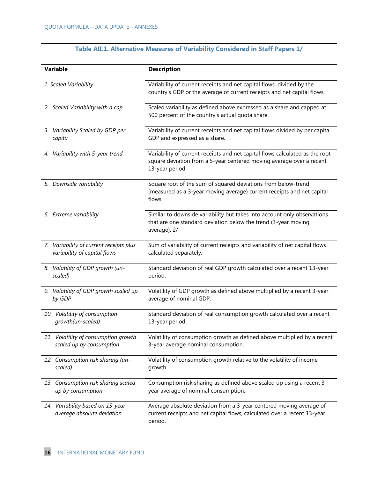| <b>Variable</b>                         | <b>Description</b>                                                                                                                                                      |
|-----------------------------------------|-------------------------------------------------------------------------------------------------------------------------------------------------------------------------|
| 1. Scaled Variability                   | Variability of current receipts and net capital flows, divided by the<br>country's GDP or the average of current receipts and net capital flows.                        |
| 2. Scaled Variability with a cap        | Scaled variability as defined above expressed as a share and capped at<br>500 percent of the country's actual quota share.                                              |
| 3. Variability Scaled by GDP per        | Variability of current receipts and net capital flows divided by per capita                                                                                             |
| capita                                  | GDP and expressed as a share.                                                                                                                                           |
| 4. Variability with 5-year trend        | Variability of current receipts and net capital flows calculated as the root<br>square deviation from a 5-year centered moving average over a recent<br>13-year period. |
| 5. Downside variability                 | Square root of the sum of squared deviations from below-trend<br>(measured as a 3-year moving average) current receipts and net capital<br>flows.                       |
| 6. Extreme variability                  | Similar to downside variability but takes into account only observations<br>that are one standard deviation below the trend (3-year moving<br>average). 2/              |
| 7. Variability of current receipts plus | Sum of variability of current receipts and variability of net capital flows                                                                                             |
| variability of capital flows            | calculated separately.                                                                                                                                                  |
| 8. Volatility of GDP growth (un-        | Standard deviation of real GDP growth calculated over a recent 13-year                                                                                                  |
| scaled)                                 | period.                                                                                                                                                                 |
| 9. Volatility of GDP growth scaled up   | Volatility of GDP growth as defined above multiplied by a recent 3-year                                                                                                 |
| by GDP                                  | average of nominal GDP.                                                                                                                                                 |
| 10. Volatility of consumption           | Standard deviation of real consumption growth calculated over a recent                                                                                                  |
| growth(un-scaled)                       | 13-year period.                                                                                                                                                         |
| 11. Volatility of consumption growth    | Volatility of consumption growth as defined above multiplied by a recent                                                                                                |
| scaled up by consumption                | 3-year average nominal consumption.                                                                                                                                     |
| 12. Consumption risk sharing (un-       | Volatility of consumption growth relative to the volatility of income                                                                                                   |
| scaled)                                 | growth.                                                                                                                                                                 |
| 13. Consumption risk sharing scaled     | Consumption risk sharing as defined above scaled up using a recent 3-                                                                                                   |
| up by consumption                       | year average of nominal consumption.                                                                                                                                    |
| 14. Variability based on 13-year        | Average absolute deviation from a 3-year centered moving average of                                                                                                     |
| average absolute deviation              | current receipts and net capital flows, calculated over a recent 13-year                                                                                                |